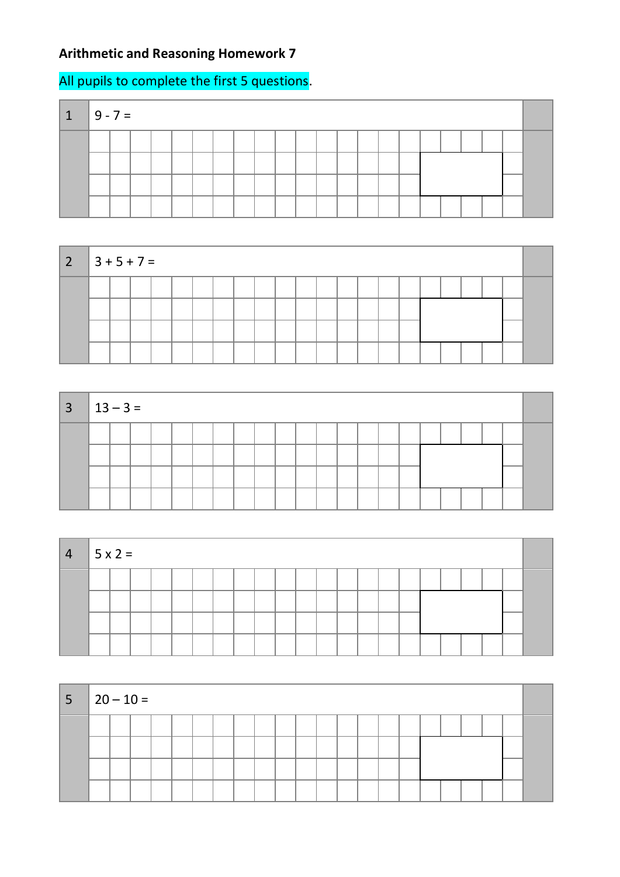## **Arithmetic and Reasoning Homework 7**

## All pupils to complete the first 5 questions.

| $\mathbf{T}$ | $9 - 7 =$ |  |  |  |  |  |  |  |  |  |  |  |
|--------------|-----------|--|--|--|--|--|--|--|--|--|--|--|
|              |           |  |  |  |  |  |  |  |  |  |  |  |
|              |           |  |  |  |  |  |  |  |  |  |  |  |
|              |           |  |  |  |  |  |  |  |  |  |  |  |
|              |           |  |  |  |  |  |  |  |  |  |  |  |



| $3 \mid 13 - 3 =$ |  |  |  |  |  |  |  |  |  |  |  |
|-------------------|--|--|--|--|--|--|--|--|--|--|--|
|                   |  |  |  |  |  |  |  |  |  |  |  |
|                   |  |  |  |  |  |  |  |  |  |  |  |
|                   |  |  |  |  |  |  |  |  |  |  |  |
|                   |  |  |  |  |  |  |  |  |  |  |  |

| $4 \mid 5 \times 2 =$ |  |  |  |  |  |  |  |  |  |  |  |
|-----------------------|--|--|--|--|--|--|--|--|--|--|--|
|                       |  |  |  |  |  |  |  |  |  |  |  |
|                       |  |  |  |  |  |  |  |  |  |  |  |
|                       |  |  |  |  |  |  |  |  |  |  |  |
|                       |  |  |  |  |  |  |  |  |  |  |  |

| $ 5 20-10=$ |  |  |  |  |  |  |  |  |  |  |  |
|-------------|--|--|--|--|--|--|--|--|--|--|--|
|             |  |  |  |  |  |  |  |  |  |  |  |
|             |  |  |  |  |  |  |  |  |  |  |  |
|             |  |  |  |  |  |  |  |  |  |  |  |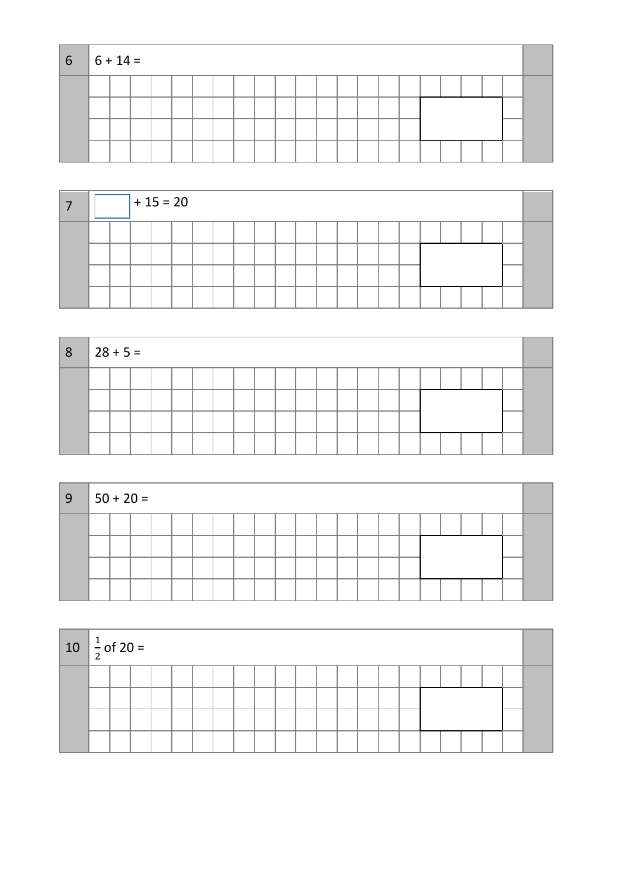| $6 \t-6 + 14 =$ |  |  |  |  |  |  |  |  |  |  |  |
|-----------------|--|--|--|--|--|--|--|--|--|--|--|
|                 |  |  |  |  |  |  |  |  |  |  |  |
|                 |  |  |  |  |  |  |  |  |  |  |  |
|                 |  |  |  |  |  |  |  |  |  |  |  |
|                 |  |  |  |  |  |  |  |  |  |  |  |

|  |  | $+15=20$ |  |  |  |  |  |  |  |  |  |
|--|--|----------|--|--|--|--|--|--|--|--|--|
|  |  |          |  |  |  |  |  |  |  |  |  |
|  |  |          |  |  |  |  |  |  |  |  |  |
|  |  |          |  |  |  |  |  |  |  |  |  |
|  |  |          |  |  |  |  |  |  |  |  |  |

| 8 <sub>1</sub> | $28 + 5 =$ |  |  |  |  |  |  |  |  |  |  |  |
|----------------|------------|--|--|--|--|--|--|--|--|--|--|--|
|                |            |  |  |  |  |  |  |  |  |  |  |  |
|                |            |  |  |  |  |  |  |  |  |  |  |  |
|                |            |  |  |  |  |  |  |  |  |  |  |  |
|                |            |  |  |  |  |  |  |  |  |  |  |  |

| ∣9 | $ 50 + 20 =$ |  |  |  |  |  |  |  |  |  |  |  |
|----|--------------|--|--|--|--|--|--|--|--|--|--|--|
|    |              |  |  |  |  |  |  |  |  |  |  |  |
|    |              |  |  |  |  |  |  |  |  |  |  |  |
|    |              |  |  |  |  |  |  |  |  |  |  |  |

| 10 $\frac{1}{2}$ of 20 = |  |  |  |  |  |  |  |  |  |  |  |
|--------------------------|--|--|--|--|--|--|--|--|--|--|--|
|                          |  |  |  |  |  |  |  |  |  |  |  |
|                          |  |  |  |  |  |  |  |  |  |  |  |
|                          |  |  |  |  |  |  |  |  |  |  |  |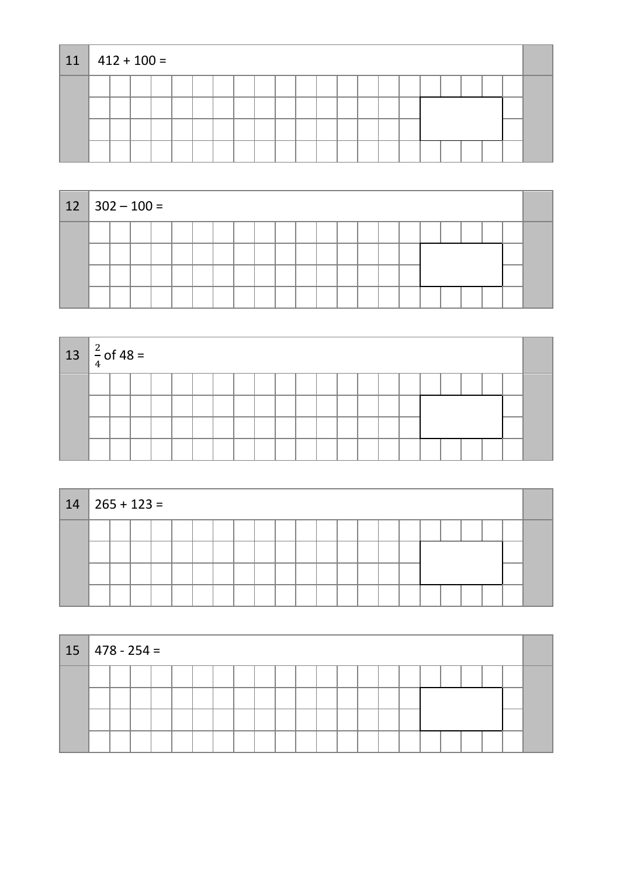| 11 | $412 + 100 =$ |  |  |  |  |  |  |  |  |  |  |
|----|---------------|--|--|--|--|--|--|--|--|--|--|
|    |               |  |  |  |  |  |  |  |  |  |  |
|    |               |  |  |  |  |  |  |  |  |  |  |
|    |               |  |  |  |  |  |  |  |  |  |  |
|    |               |  |  |  |  |  |  |  |  |  |  |

| $12 \mid 302 - 100 =$ |  |  |  |  |  |  |  |  |  |  |  |
|-----------------------|--|--|--|--|--|--|--|--|--|--|--|
|                       |  |  |  |  |  |  |  |  |  |  |  |
|                       |  |  |  |  |  |  |  |  |  |  |  |
|                       |  |  |  |  |  |  |  |  |  |  |  |
|                       |  |  |  |  |  |  |  |  |  |  |  |

| $13 \left  \frac{2}{4} \right.$ of 48 = |  |  |  |  |  |  |  |  |  |  |  |
|-----------------------------------------|--|--|--|--|--|--|--|--|--|--|--|
|                                         |  |  |  |  |  |  |  |  |  |  |  |
|                                         |  |  |  |  |  |  |  |  |  |  |  |
|                                         |  |  |  |  |  |  |  |  |  |  |  |
|                                         |  |  |  |  |  |  |  |  |  |  |  |

| $14 \mid 265 + 123 =$ |  |  |  |  |  |  |  |  |  |  |  |  |  |  |  |  |
|-----------------------|--|--|--|--|--|--|--|--|--|--|--|--|--|--|--|--|
|                       |  |  |  |  |  |  |  |  |  |  |  |  |  |  |  |  |
|                       |  |  |  |  |  |  |  |  |  |  |  |  |  |  |  |  |
|                       |  |  |  |  |  |  |  |  |  |  |  |  |  |  |  |  |
|                       |  |  |  |  |  |  |  |  |  |  |  |  |  |  |  |  |

| $15 \mid 478 - 254 =$ |  |  |  |  |  |  |  |  |  |  |  |  |  |  |  |  |
|-----------------------|--|--|--|--|--|--|--|--|--|--|--|--|--|--|--|--|
|                       |  |  |  |  |  |  |  |  |  |  |  |  |  |  |  |  |
|                       |  |  |  |  |  |  |  |  |  |  |  |  |  |  |  |  |
|                       |  |  |  |  |  |  |  |  |  |  |  |  |  |  |  |  |
|                       |  |  |  |  |  |  |  |  |  |  |  |  |  |  |  |  |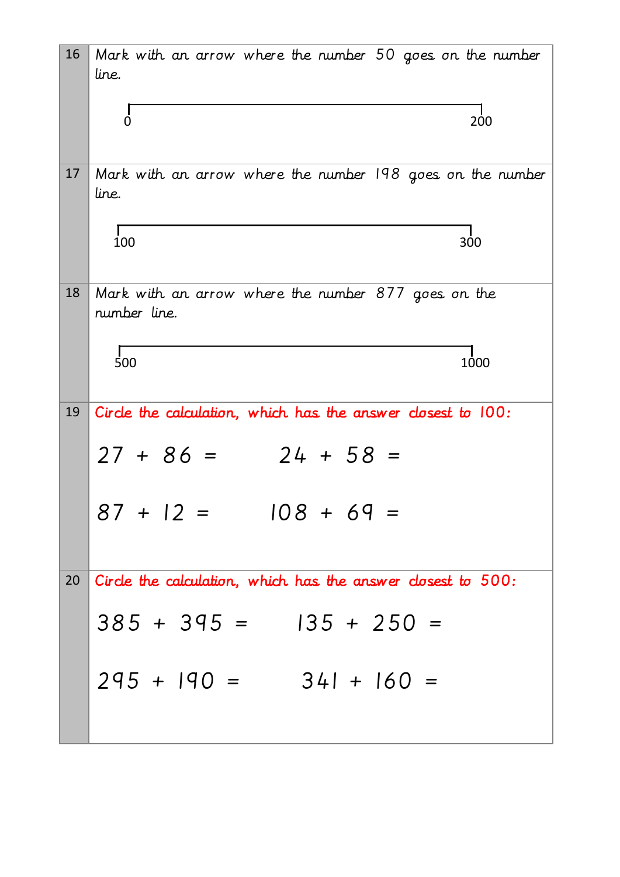| 16 | Mark with an arrow where the number 50 goes on the number<br>line.  |
|----|---------------------------------------------------------------------|
|    | $\dot{0}$<br>200                                                    |
| 17 | Mark with an arrow where the number 198 goes on the number<br>line. |
|    | 100<br>300                                                          |
| 18 | Mark with an arrow where the number 877 goes on the<br>number line. |
|    | 500<br>1000                                                         |
| 19 | Circle the calculation, which has the answer closest to 100:        |
|    | $27 + 86 =$<br>$24 + 58 =$                                          |
|    | $87 + 12 = 108 + 69 =$                                              |
| 20 | Circle the calculation, which has the answer closest to 500:        |
|    | $385 + 395 = 135 + 250 =$                                           |
|    | $295 + 190 = 341 + 160 =$                                           |
|    |                                                                     |